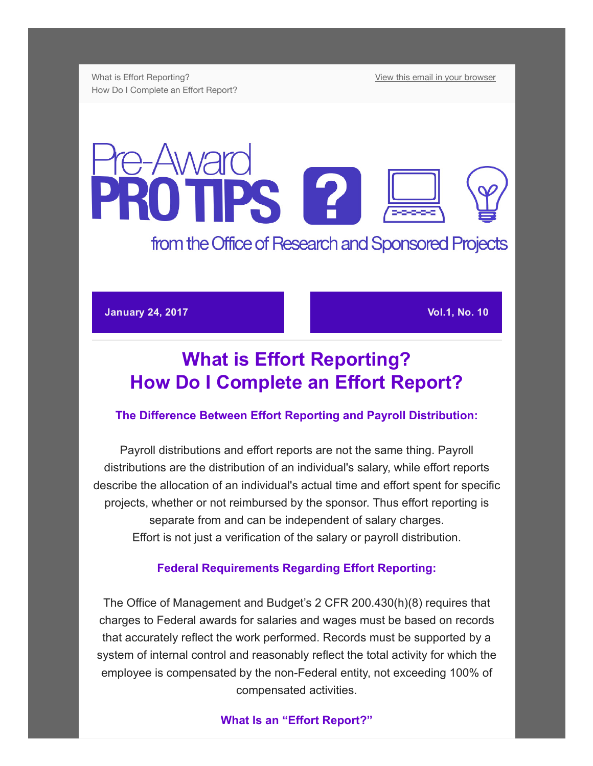What is Effort Reporting? How Do I Complete an Effort Report? [View this email in your browser](http://us13.campaign-archive2.com/?u=da65d94a037c71fb992ffa034&id=e880f8e9df&e=[UNIQID])

# AWard **PS 2** from the Office of Research and Sponsored Projects

#### January 24, 2017 Vol.1, No. 10

# What is Effort Reporting? How Do I Complete an Effort Report?

#### The Difference Between Effort Reporting and Payroll Distribution:

Payroll distributions and effort reports are not the same thing. Payroll distributions are the distribution of an individual's salary, while effort reports describe the allocation of an individual's actual time and effort spent for specific projects, whether or not reimbursed by the sponsor. Thus effort reporting is separate from and can be independent of salary charges. Effort is not just a verification of the salary or payroll distribution.

#### Federal Requirements Regarding Effort Reporting:

The Office of Management and Budget's 2 CFR 200.430(h)(8) requires that charges to Federal awards for salaries and wages must be based on records that accurately reflect the work performed. Records must be supported by a system of internal control and reasonably reflect the total activity for which the employee is compensated by the non-Federal entity, not exceeding 100% of compensated activities.

#### What Is an "Effort Report?"